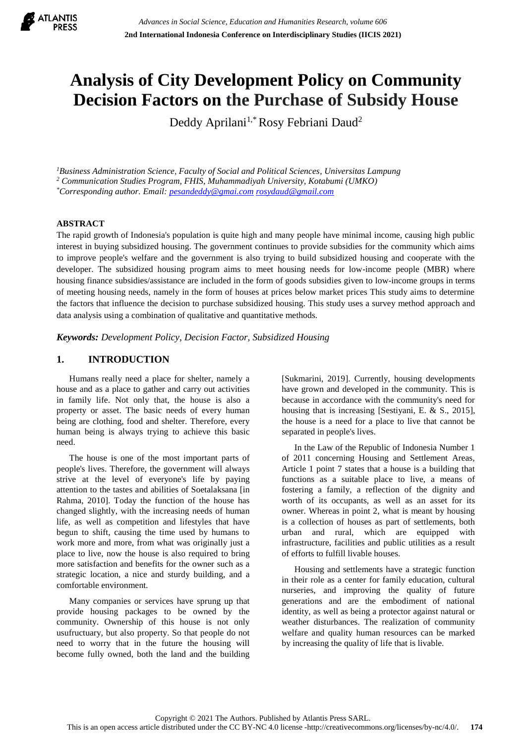

# **Analysis of City Development Policy on Community Decision Factors on the Purchase of Subsidy House**

Deddy Aprilani<sup>1,\*</sup>Rosy Febriani Daud<sup>2</sup>

*<sup>1</sup>Business Administration Science, Faculty of Social and Political Sciences, Universitas Lampung <sup>2</sup> Communication Studies Program, FHIS, Muhammadiyah University, Kotabumi (UMKO) \*Corresponding author. Email: [pesandeddy@gmai.com](mailto:pesandeddy@gmai.com) [rosydaud@gmail.com](mailto:rosydaud@gmail.com)*

### **ABSTRACT**

The rapid growth of Indonesia's population is quite high and many people have minimal income, causing high public interest in buying subsidized housing. The government continues to provide subsidies for the community which aims to improve people's welfare and the government is also trying to build subsidized housing and cooperate with the developer. The subsidized housing program aims to meet housing needs for low-income people (MBR) where housing finance subsidies/assistance are included in the form of goods subsidies given to low-income groups in terms of meeting housing needs, namely in the form of houses at prices below market prices This study aims to determine the factors that influence the decision to purchase subsidized housing. This study uses a survey method approach and data analysis using a combination of qualitative and quantitative methods.

*Keywords: Development Policy, Decision Factor, Subsidized Housing*

# **1. INTRODUCTION**

Humans really need a place for shelter, namely a house and as a place to gather and carry out activities in family life. Not only that, the house is also a property or asset. The basic needs of every human being are clothing, food and shelter. Therefore, every human being is always trying to achieve this basic need.

The house is one of the most important parts of people's lives. Therefore, the government will always strive at the level of everyone's life by paying attention to the tastes and abilities of Soetalaksana [in Rahma, 2010]. Today the function of the house has changed slightly, with the increasing needs of human life, as well as competition and lifestyles that have begun to shift, causing the time used by humans to work more and more, from what was originally just a place to live, now the house is also required to bring more satisfaction and benefits for the owner such as a strategic location, a nice and sturdy building, and a comfortable environment.

Many companies or services have sprung up that provide housing packages to be owned by the community. Ownership of this house is not only usufructuary, but also property. So that people do not need to worry that in the future the housing will become fully owned, both the land and the building [Sukmarini, 2019]. Currently, housing developments have grown and developed in the community. This is because in accordance with the community's need for housing that is increasing [Sestiyani, E. & S., 2015], the house is a need for a place to live that cannot be separated in people's lives.

In the Law of the Republic of Indonesia Number 1 of 2011 concerning Housing and Settlement Areas, Article 1 point 7 states that a house is a building that functions as a suitable place to live, a means of fostering a family, a reflection of the dignity and worth of its occupants, as well as an asset for its owner. Whereas in point 2, what is meant by housing is a collection of houses as part of settlements, both urban and rural, which are equipped with infrastructure, facilities and public utilities as a result of efforts to fulfill livable houses.

Housing and settlements have a strategic function in their role as a center for family education, cultural nurseries, and improving the quality of future generations and are the embodiment of national identity, as well as being a protector against natural or weather disturbances. The realization of community welfare and quality human resources can be marked by increasing the quality of life that is livable.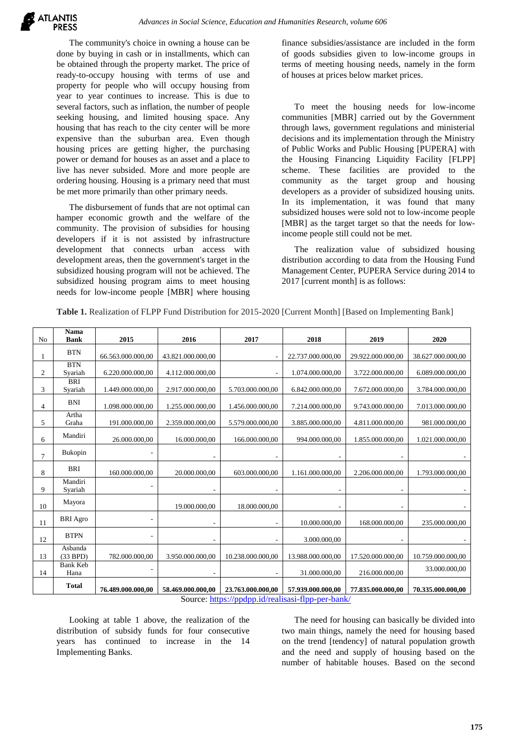

The community's choice in owning a house can be done by buying in cash or in installments, which can be obtained through the property market. The price of ready-to-occupy housing with terms of use and property for people who will occupy housing from year to year continues to increase. This is due to several factors, such as inflation, the number of people seeking housing, and limited housing space. Any housing that has reach to the city center will be more expensive than the suburban area. Even though housing prices are getting higher, the purchasing power or demand for houses as an asset and a place to live has never subsided. More and more people are ordering housing. Housing is a primary need that must be met more primarily than other primary needs.

The disbursement of funds that are not optimal can hamper economic growth and the welfare of the community. The provision of subsidies for housing developers if it is not assisted by infrastructure development that connects urban access with development areas, then the government's target in the subsidized housing program will not be achieved. The subsidized housing program aims to meet housing needs for low-income people [MBR] where housing finance subsidies/assistance are included in the form of goods subsidies given to low-income groups in terms of meeting housing needs, namely in the form of houses at prices below market prices.

To meet the housing needs for low-income communities [MBR] carried out by the Government through laws, government regulations and ministerial decisions and its implementation through the Ministry of Public Works and Public Housing [PUPERA] with the Housing Financing Liquidity Facility [FLPP] scheme. These facilities are provided to the community as the target group and housing developers as a provider of subsidized housing units. In its implementation, it was found that many subsidized houses were sold not to low-income people [MBR] as the target target so that the needs for lowincome people still could not be met.

The realization value of subsidized housing distribution according to data from the Housing Fund Management Center, PUPERA Service during 2014 to 2017 [current month] is as follows:

| N <sub>o</sub> | Nama<br><b>Bank</b>     | 2015                     | 2016              | 2017              | 2018              | 2019              | 2020              |
|----------------|-------------------------|--------------------------|-------------------|-------------------|-------------------|-------------------|-------------------|
|                | <b>BTN</b>              | 66.563.000.000,00        | 43.821.000.000,00 |                   | 22.737.000.000,00 | 29.922.000.000,00 | 38.627.000.000,00 |
| 2              | <b>BTN</b><br>Syariah   | 6.220.000.000,00         | 4.112.000.000,00  |                   | 1.074.000.000,00  | 3.722.000.000,00  | 6.089.000.000,00  |
| 3              | <b>BRI</b><br>Syariah   | 1.449.000.000,00         | 2.917.000.000,00  | 5.703.000.000,00  | 6.842.000.000,00  | 7.672.000.000,00  | 3.784.000.000,00  |
| 4              | <b>BNI</b>              | 1.098.000.000,00         | 1.255.000.000,00  | 1.456.000.000.00  | 7.214.000.000,00  | 9.743.000.000,00  | 7.013.000.000,00  |
| 5              | Artha<br>Graha          | 191.000.000,00           | 2.359.000.000,00  | 5.579.000.000,00  | 3.885.000.000,00  | 4.811.000.000,00  | 981.000.000,00    |
| 6              | Mandiri                 | 26.000.000.00            | 16.000.000.00     | 166.000.000.00    | 994.000.000.00    | 1.855.000.000.00  | 1.021.000.000.00  |
| 7              | Bukopin                 |                          |                   |                   |                   |                   |                   |
| 8              | <b>BRI</b>              | 160.000.000.00           | 20.000.000.00     | 603.000.000.00    | 1.161.000.000,00  | 2.206.000.000.00  | 1.793.000.000.00  |
| 9              | Mandiri<br>Syariah      | $\overline{a}$           |                   |                   | ٠                 |                   |                   |
| 10             | Mayora                  |                          | 19.000.000,00     | 18.000.000,00     |                   |                   |                   |
| 11             | <b>BRI</b> Agro         | $\overline{a}$           |                   |                   | 10.000.000,00     | 168.000.000,00    | 235.000.000,00    |
| 12             | <b>BTPN</b>             | $\overline{a}$           |                   |                   | 3.000.000,00      |                   |                   |
| 13             | Asbanda<br>(33 BPD)     | 782.000.000.00           | 3.950.000.000,00  | 10.238.000.000.00 | 13.988.000.000,00 | 17.520.000.000,00 | 10.759.000.000,00 |
| 14             | <b>Bank Keb</b><br>Hana | $\overline{\phantom{a}}$ |                   |                   | 31.000.000,00     | 216.000.000,00    | 33.000.000.00     |
|                | <b>Total</b>            | 76.489.000.000,00        | 58.469.000.000,00 | 23.763.000.000,00 | 57.939.000.000,00 | 77.835.000.000,00 | 70.335.000.000,00 |

**Table 1.** Realization of FLPP Fund Distribution for 2015-2020 [Current Month] [Based on Implementing Bank]

Source:<https://ppdpp.id/realisasi-flpp-per-bank/>

Looking at table 1 above, the realization of the distribution of subsidy funds for four consecutive years has continued to increase in the 14 Implementing Banks.

The need for housing can basically be divided into two main things, namely the need for housing based on the trend [tendency] of natural population growth and the need and supply of housing based on the number of habitable houses. Based on the second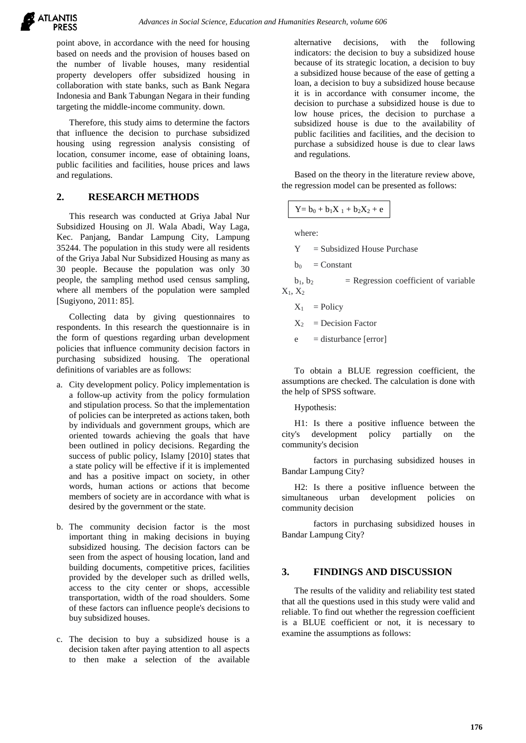

point above, in accordance with the need for housing based on needs and the provision of houses based on the number of livable houses, many residential property developers offer subsidized housing in collaboration with state banks, such as Bank Negara Indonesia and Bank Tabungan Negara in their funding targeting the middle-income community. down.

Therefore, this study aims to determine the factors that influence the decision to purchase subsidized housing using regression analysis consisting of location, consumer income, ease of obtaining loans, public facilities and facilities, house prices and laws and regulations.

## **2. RESEARCH METHODS**

This research was conducted at Griya Jabal Nur Subsidized Housing on Jl. Wala Abadi, Way Laga, Kec. Panjang, Bandar Lampung City, Lampung 35244. The population in this study were all residents of the Griya Jabal Nur Subsidized Housing as many as 30 people. Because the population was only 30 people, the sampling method used census sampling, where all members of the population were sampled [Sugiyono, 2011: 85].

Collecting data by giving questionnaires to respondents. In this research the questionnaire is in the form of questions regarding urban development policies that influence community decision factors in purchasing subsidized housing. The operational definitions of variables are as follows:

- a. City development policy. Policy implementation is a follow-up activity from the policy formulation and stipulation process. So that the implementation of policies can be interpreted as actions taken, both by individuals and government groups, which are oriented towards achieving the goals that have been outlined in policy decisions. Regarding the success of public policy, Islamy [2010] states that a state policy will be effective if it is implemented and has a positive impact on society, in other words, human actions or actions that become members of society are in accordance with what is desired by the government or the state.
- b. The community decision factor is the most important thing in making decisions in buying subsidized housing. The decision factors can be seen from the aspect of housing location, land and building documents, competitive prices, facilities provided by the developer such as drilled wells, access to the city center or shops, accessible transportation, width of the road shoulders. Some of these factors can influence people's decisions to buy subsidized houses.
- c. The decision to buy a subsidized house is a decision taken after paying attention to all aspects to then make a selection of the available

alternative decisions, with the following indicators: the decision to buy a subsidized house because of its strategic location, a decision to buy a subsidized house because of the ease of getting a loan, a decision to buy a subsidized house because it is in accordance with consumer income, the decision to purchase a subsidized house is due to low house prices, the decision to purchase a subsidized house is due to the availability of public facilities and facilities, and the decision to purchase a subsidized house is due to clear laws and regulations.

Based on the theory in the literature review above, the regression model can be presented as follows:

 $Y = b_0 + b_1X_1 + b_2X_2 + e$ 

where:

 $Y = Subsidized House Purchase$ 

 $b_0$  = Constant

 $b_1, b_2$  = Regression coefficient of variable  $X_1, X_2$ 

$$
X_1 = Policy
$$

$$
X_2 = Decision Factor
$$

 $e$  = disturbance [error]

To obtain a BLUE regression coefficient, the assumptions are checked. The calculation is done with the help of SPSS software.

Hypothesis:

H1: Is there a positive influence between the city's development policy partially on the community's decision

factors in purchasing subsidized houses in Bandar Lampung City?

H2: Is there a positive influence between the simultaneous urban development policies on community decision

factors in purchasing subsidized houses in Bandar Lampung City?

## **3. FINDINGS AND DISCUSSION**

The results of the validity and reliability test stated that all the questions used in this study were valid and reliable. To find out whether the regression coefficient is a BLUE coefficient or not, it is necessary to examine the assumptions as follows: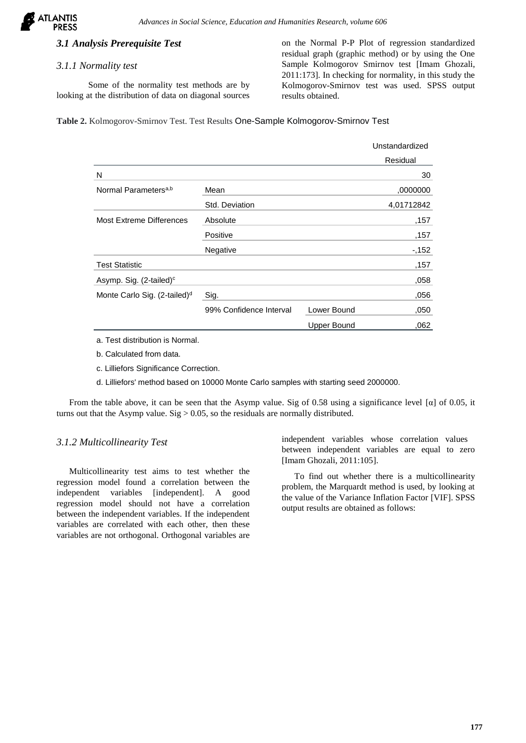

# *3.1 Analysis Prerequisite Test*

#### *3.1.1 Normality test*

Some of the normality test methods are by looking at the distribution of data on diagonal sources on the Normal P-P Plot of regression standardized residual graph (graphic method) or by using the One Sample Kolmogorov Smirnov test [Imam Ghozali, 2011:173]. In checking for normality, in this study the Kolmogorov-Smirnov test was used. SPSS output results obtained.

**Table 2.** Kolmogorov-Smirnov Test. Test Results One-Sample Kolmogorov-Smirnov Test

|                                          |                         |                    | Unstandardized |
|------------------------------------------|-------------------------|--------------------|----------------|
|                                          |                         |                    | Residual       |
| N                                        |                         |                    | 30             |
| Normal Parameters <sup>a,b</sup>         | Mean                    |                    | ,0000000       |
|                                          | Std. Deviation          |                    | 4,01712842     |
| <b>Most Extreme Differences</b>          | Absolute                |                    | ,157           |
|                                          | Positive                |                    | ,157           |
|                                          | Negative                |                    | $-152$         |
| <b>Test Statistic</b>                    |                         |                    | ,157           |
| Asymp. Sig. (2-tailed) <sup>c</sup>      |                         |                    | ,058           |
| Monte Carlo Sig. (2-tailed) <sup>d</sup> | Sig.                    |                    | ,056           |
|                                          | 99% Confidence Interval | Lower Bound        | ,050           |
|                                          |                         | <b>Upper Bound</b> | .062           |

- a. Test distribution is Normal.
- b. Calculated from data.
- c. Lilliefors Significance Correction.
- d. Lilliefors' method based on 10000 Monte Carlo samples with starting seed 2000000.

From the table above, it can be seen that the Asymp value. Sig of 0.58 using a significance level [α] of 0.05, it turns out that the Asymp value. Sig  $> 0.05$ , so the residuals are normally distributed.

### *3.1.2 Multicollinearity Test*

Multicollinearity test aims to test whether the regression model found a correlation between the independent variables [independent]. A good regression model should not have a correlation between the independent variables. If the independent variables are correlated with each other, then these variables are not orthogonal. Orthogonal variables are

independent variables whose correlation values between independent variables are equal to zero [Imam Ghozali, 2011:105].

To find out whether there is a multicollinearity problem, the Marquardt method is used, by looking at the value of the Variance Inflation Factor [VIF]. SPSS output results are obtained as follows: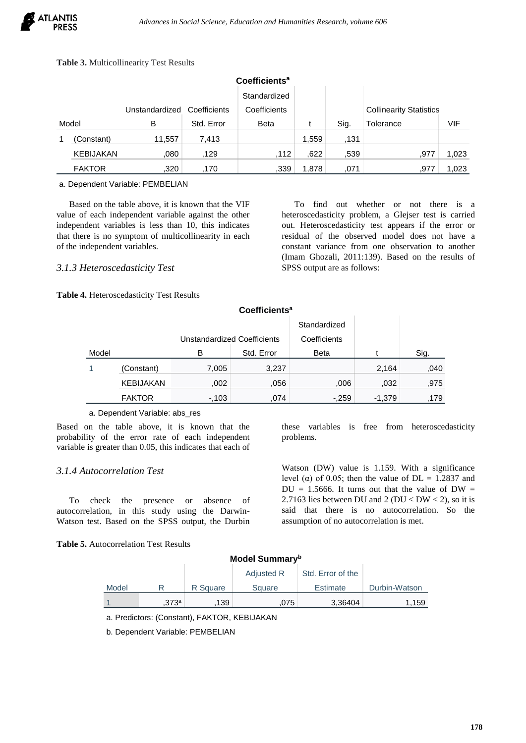## **Table 3.** Multicollinearity Test Results

| Coefficients <sup>a</sup>      |               |        |            |              |       |      |                                |       |
|--------------------------------|---------------|--------|------------|--------------|-------|------|--------------------------------|-------|
|                                |               |        |            | Standardized |       |      |                                |       |
| Unstandardized<br>Coefficients |               |        |            | Coefficients |       |      | <b>Collinearity Statistics</b> |       |
| Model                          |               | B      | Std. Error | <b>Beta</b>  |       | Sig. | Tolerance                      | VIF   |
|                                | (Constant)    | 11,557 | 7,413      |              | 1,559 | ,131 |                                |       |
|                                | KEBIJAKAN     | .080   | .129       | .112         | ,622  | .539 | .977                           | 1,023 |
|                                | <b>FAKTOR</b> | .320   | ,170       | ,339         | 1,878 | .071 | ,977                           | 1,023 |

a. Dependent Variable: PEMBELIAN

Based on the table above, it is known that the VIF value of each independent variable against the other independent variables is less than 10, this indicates that there is no symptom of multicollinearity in each of the independent variables.

## *3.1.3 Heteroscedasticity Test*

**Table 4.** Heteroscedasticity Test Results

To find out whether or not there is a heteroscedasticity problem, a Glejser test is carried out. Heteroscedasticity test appears if the error or residual of the observed model does not have a constant variance from one observation to another (Imam Ghozali, 2011:139). Based on the results of SPSS output are as follows:

|       |                  |                             |            | Standardized |          |      |
|-------|------------------|-----------------------------|------------|--------------|----------|------|
|       |                  | Unstandardized Coefficients |            | Coefficients |          |      |
| Model |                  | в                           | Std. Error | <b>Beta</b>  |          | Sig. |
|       | (Constant)       | 7,005                       | 3,237      |              | 2,164    | ,040 |
|       | <b>KEBIJAKAN</b> | .002                        | .056       | .006         | .032     | .975 |
|       | <b>FAKTOR</b>    | $-0.103$                    | .074       | $-.259$      | $-1,379$ | 179  |
|       |                  |                             |            |              |          |      |

**Coefficients<sup>a</sup>**

#### a. Dependent Variable: abs\_res

Based on the table above, it is known that the probability of the error rate of each independent variable is greater than 0.05, this indicates that each of

### *3.1.4 Autocorrelation Test*

To check the presence or absence of autocorrelation, in this study using the Darwin-Watson test. Based on the SPSS output, the Durbin

**Table 5.** Autocorrelation Test Results

these variables is free from heteroscedasticity problems.

Watson (DW) value is 1.159. With a significance level ( $\alpha$ ) of 0.05; then the value of DL = 1.2837 and  $DU = 1.5666$ . It turns out that the value of  $DW =$ 2.7163 lies between DU and 2 ( $DU < DW < 2$ ), so it is said that there is no autocorrelation. So the assumption of no autocorrelation is met.

## **Model Summary<sup>b</sup>**

|       |      |          | <b>Adjusted R</b> | Std. Error of the |               |
|-------|------|----------|-------------------|-------------------|---------------|
| Model |      | R Square | Square            | <b>Estimate</b>   | Durbin-Watson |
|       | 373a | 139      | 075               | 3,36404           | 1,159         |

a. Predictors: (Constant), FAKTOR, KEBIJAKAN

b. Dependent Variable: PEMBELIAN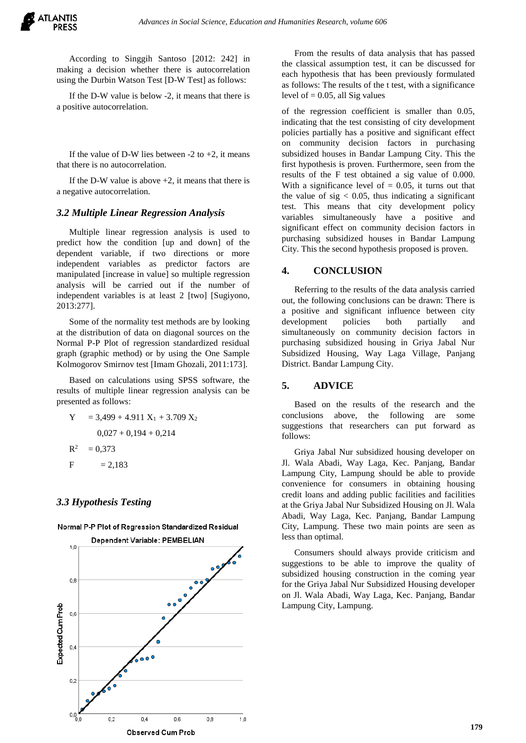According to Singgih Santoso [2012: 242] in making a decision whether there is autocorrelation using the Durbin Watson Test [D-W Test] as follows:

If the D-W value is below -2, it means that there is a positive autocorrelation.

If the value of D-W lies between  $-2$  to  $+2$ , it means that there is no autocorrelation.

If the D-W value is above  $+2$ , it means that there is a negative autocorrelation.

#### *3.2 Multiple Linear Regression Analysis*

Multiple linear regression analysis is used to predict how the condition [up and down] of the dependent variable, if two directions or more independent variables as predictor factors are manipulated [increase in value] so multiple regression analysis will be carried out if the number of independent variables is at least 2 [two] [Sugiyono, 2013:277].

Some of the normality test methods are by looking at the distribution of data on diagonal sources on the Normal P-P Plot of regression standardized residual graph (graphic method) or by using the One Sample Kolmogorov Smirnov test [Imam Ghozali, 2011:173].

Based on calculations using SPSS software, the results of multiple linear regression analysis can be presented as follows:

Y = 3,499 + 4.911 X1 + 3.709 X<sup>2</sup> 0,027 + 0,194 + 0,214 R

 $F = 2,183$ 

 $= 0,373$ 

### *3.3 Hypothesis Testing*



Normal P-P Plot of Regression Standardized Residual

From the results of data analysis that has passed the classical assumption test, it can be discussed for each hypothesis that has been previously formulated as follows: The results of the t test, with a significance level of  $= 0.05$ , all Sig values

of the regression coefficient is smaller than 0.05, indicating that the test consisting of city development policies partially has a positive and significant effect on community decision factors in purchasing subsidized houses in Bandar Lampung City. This the first hypothesis is proven. Furthermore, seen from the results of the F test obtained a sig value of 0.000. With a significance level of  $= 0.05$ , it turns out that the value of  $sig < 0.05$ , thus indicating a significant test. This means that city development policy variables simultaneously have a positive and significant effect on community decision factors in purchasing subsidized houses in Bandar Lampung City. This the second hypothesis proposed is proven.

## **4. CONCLUSION**

Referring to the results of the data analysis carried out, the following conclusions can be drawn: There is a positive and significant influence between city development policies both partially and simultaneously on community decision factors in purchasing subsidized housing in Griya Jabal Nur Subsidized Housing, Way Laga Village, Panjang District. Bandar Lampung City.

## **5. ADVICE**

Based on the results of the research and the conclusions above, the following are some suggestions that researchers can put forward as follows:

Griya Jabal Nur subsidized housing developer on Jl. Wala Abadi, Way Laga, Kec. Panjang, Bandar Lampung City, Lampung should be able to provide convenience for consumers in obtaining housing credit loans and adding public facilities and facilities at the Griya Jabal Nur Subsidized Housing on Jl. Wala Abadi, Way Laga, Kec. Panjang, Bandar Lampung City, Lampung. These two main points are seen as less than optimal.

Consumers should always provide criticism and suggestions to be able to improve the quality of subsidized housing construction in the coming year for the Griya Jabal Nur Subsidized Housing developer on Jl. Wala Abadi, Way Laga, Kec. Panjang, Bandar Lampung City, Lampung.